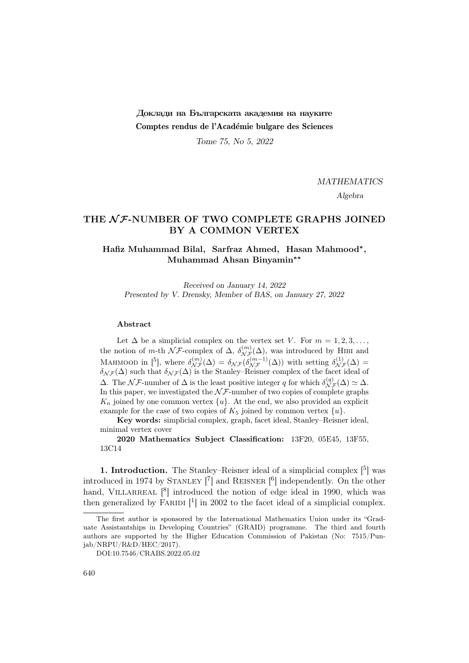# Доклади на Българската академия на науките Comptes rendus de l'Académie bulgare des Sciences

Tome 75, No 5, 2022

MATHEMATICS

Algebra

## THE  $N$ F-NUMBER OF TWO COMPLETE GRAPHS JOINED BY A COMMON VERTEX

## Hafiz Muhammad Bilal, Sarfraz Ahmed, Hasan Mahmood<sup>∗</sup> , Muhammad Ahsan Binyamin∗∗

Received on January 14, 2022 Presented by V. Drensky, Member of BAS, on January 27, 2022

#### Abstract

Let  $\Delta$  be a simplicial complex on the vertex set V. For  $m = 1, 2, 3, \ldots$ , the notion of m-th  $\mathcal{NF}$ -complex of  $\Delta$ ,  $\delta_{\mathcal{NF}}^{(m)}(\Delta)$ , was introduced by HIBI and MAHMOOD in [5], where  $\delta_{\mathcal{NF}}^{(m)}(\Delta) = \delta_{\mathcal{NF}}(\delta_{\mathcal{NF}}^{(m-1)}(\Delta))$  with setting  $\delta_{\mathcal{NF}}^{(1)}(\Delta) =$  $\delta_{\mathcal{N}\mathcal{F}}(\Delta)$  such that  $\delta_{\mathcal{N}\mathcal{F}}(\Delta)$  is the Stanley–Reisner complex of the facet ideal of  $\Delta$ . The  $\mathcal{NF}$ -number of  $\Delta$  is the least positive integer q for which  $\delta_{\mathcal{NF}}^{(q)}(\Delta) \simeq \Delta$ . In this paper, we investigated the  $N\mathcal{F}$ -number of two copies of complete graphs  $K_n$  joined by one common vertex  $\{u\}$ . At the end, we also provided an explicit example for the case of two copies of  $K_5$  joined by common vertex  $\{u\}$ .

Key words: simplicial complex, graph, facet ideal, Stanley–Reisner ideal, minimal vertex cover

2020 Mathematics Subject Classification: 13F20, 05E45, 13F55, 13C14

**1. Introduction.** The Stanley–Reisner ideal of a simplicial complex  $\begin{bmatrix} 5 \end{bmatrix}$  was introduced in 1974 by STANLEY  $\begin{bmatrix} 7 \end{bmatrix}$  and REISNER  $\begin{bmatrix} 6 \end{bmatrix}$  independently. On the other hand, VILLARREAL  $[8]$  introduced the notion of edge ideal in 1990, which was then generalized by FARIDI<sup>[1</sup>] in 2002 to the facet ideal of a simplicial complex.

The first author is sponsored by the International Mathematics Union under its "Graduate Assistantships in Developing Countries" (GRAID) programme. The third and fourth authors are supported by the Higher Education Commission of Pakistan (No: 7515/Punjab/NRPU/R&D/HEC/2017).

DOI:10.7546/CRABS.2022.05.02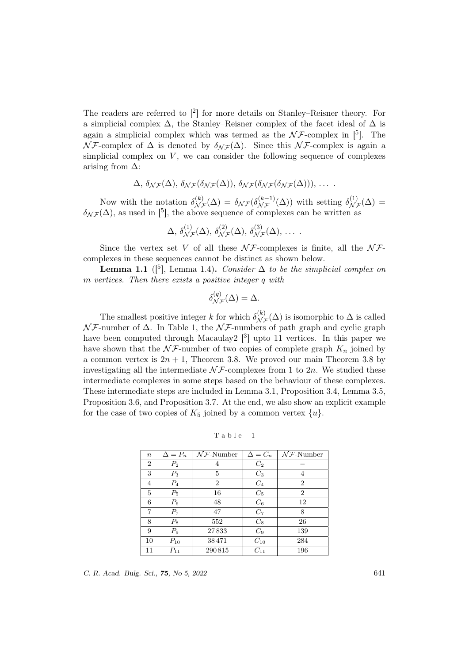The readers are referred to  $\lceil^2\rceil$  for more details on Stanley–Reisner theory. For a simplicial complex  $\Delta$ , the Stanley–Reisner complex of the facet ideal of  $\Delta$  is again a simplicial complex which was termed as the  $N\mathcal{F}$ -complex in [5]. The  $\mathcal{N} \mathcal{F}$ -complex of  $\Delta$  is denoted by  $\delta_{\mathcal{N} \mathcal{F}}(\Delta)$ . Since this  $\mathcal{N} \mathcal{F}$ -complex is again a simplicial complex on  $V$ , we can consider the following sequence of complexes arising from  $\Delta$ :

$$
\Delta, \, \delta_{\mathcal{N}\mathcal{F}}(\Delta), \, \delta_{\mathcal{N}\mathcal{F}}(\delta_{\mathcal{N}\mathcal{F}}(\Delta)), \, \delta_{\mathcal{N}\mathcal{F}}(\delta_{\mathcal{N}\mathcal{F}}(\delta_{\mathcal{N}\mathcal{F}}(\Delta))), \, \ldots \, .
$$

Now with the notation  $\delta_{\mathcal{N}\mathcal{F}}^{(k)}(\Delta) = \delta_{\mathcal{N}\mathcal{F}}(\delta_{\mathcal{N}\mathcal{F}}^{(k-1)}(\Delta))$  with setting  $\delta_{\mathcal{N}\mathcal{F}}^{(1)}(\Delta) =$  $\delta_{\mathcal{N}\mathcal{F}}(\Delta)$ , as used in [5], the above sequence of complexes can be written as

$$
\Delta, \, \delta^{(1)}_{\mathcal{N}\mathcal{F}}(\Delta), \, \delta^{(2)}_{\mathcal{N}\mathcal{F}}(\Delta), \, \delta^{(3)}_{\mathcal{N}\mathcal{F}}(\Delta), \, \ldots \, .
$$

Since the vertex set V of all these  $\mathcal{NF}$ -complexes is finite, all the  $\mathcal{NF}$ complexes in these sequences cannot be distinct as shown below.

**Lemma 1.1** ( $\begin{bmatrix} 5 \end{bmatrix}$ , Lemma 1.4). Consider  $\Delta$  to be the simplicial complex on m vertices. Then there exists a positive integer q with

$$
\delta_{\mathcal{NF}}^{(q)}(\Delta) = \Delta.
$$

The smallest positive integer k for which  $\delta_{\mathcal{NF}}^{(k)}(\Delta)$  is isomorphic to  $\Delta$  is called  $\mathcal{N} \mathcal{F}$ -number of  $\Delta$ . In Table 1, the  $\mathcal{N} \mathcal{F}$ -numbers of path graph and cyclic graph have been computed through Macaulay  $[3]$  upto 11 vertices. In this paper we have shown that the  $\mathcal{NF}$ -number of two copies of complete graph  $K_n$  joined by a common vertex is  $2n + 1$ , Theorem 3.8. We proved our main Theorem 3.8 by investigating all the intermediate  $\mathcal{N} \mathcal{F}$ -complexes from 1 to 2*n*. We studied these intermediate complexes in some steps based on the behaviour of these complexes. These intermediate steps are included in Lemma 3.1, Proposition 3.4, Lemma 3.5, Proposition 3.6, and Proposition 3.7. At the end, we also show an explicit example for the case of two copies of  $K_5$  joined by a common vertex  $\{u\}.$ 

Table 1

| $\boldsymbol{n}$ | $\Delta = P_n$ | $N \mathcal{F}$ -Number | $\Delta = C_n$ | $N \mathcal{F}$ -Number |
|------------------|----------------|-------------------------|----------------|-------------------------|
| $\overline{2}$   | P <sub>2</sub> | 4                       | $C_2$          |                         |
| 3                | $P_3$          | 5                       | $C_3$          | 4                       |
| $\overline{4}$   | $P_4$          | $\overline{2}$          | $C_4$          | $\overline{2}$          |
| 5                | $P_5$          | 16                      | $C_5$          | $\overline{2}$          |
| 6                | $P_6$          | 48                      | $C_{6}$        | 12                      |
| 7                | $P_7$          | 47                      | $C_7$          | 8                       |
| 8                | $P_8$          | 552                     | $C_8$          | 26                      |
| 9                | $P_9$          | 27833                   | $C_9$          | 139                     |
| 10               | $P_{10}$       | 38471                   | $C_{10}$       | 284                     |
| 11               | $P_{11}$       | 290815                  | $C_{11}$       | 196                     |

C. R. Acad. Bulg. Sci., **75**, No 5, 2022 641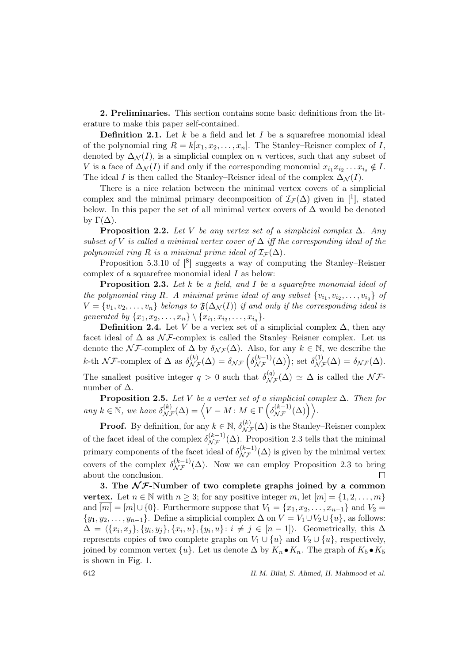2. Preliminaries. This section contains some basic definitions from the literature to make this paper self-contained.

**Definition 2.1.** Let  $k$  be a field and let  $I$  be a squarefree monomial ideal of the polynomial ring  $R = k[x_1, x_2, \ldots, x_n]$ . The Stanley–Reisner complex of I, denoted by  $\Delta_{\mathcal{N}}(I)$ , is a simplicial complex on n vertices, such that any subset of V is a face of  $\Delta_{\mathcal{N}}(I)$  if and only if the corresponding monomial  $x_{i_1} x_{i_2} \ldots x_{i_s} \notin I$ . The ideal I is then called the Stanley–Reisner ideal of the complex  $\Delta_N(I)$ .

There is a nice relation between the minimal vertex covers of a simplicial complex and the minimal primary decomposition of  $\mathcal{I}_{\mathcal{F}}(\Delta)$  given in [<sup>1</sup>], stated below. In this paper the set of all minimal vertex covers of  $\Delta$  would be denoted by  $\Gamma(\Delta)$ .

**Proposition 2.2.** Let V be any vertex set of a simplicial complex  $\Delta$ . Any subset of V is called a minimal vertex cover of  $\Delta$  iff the corresponding ideal of the polynomial ring R is a minimal prime ideal of  $\mathcal{I}_{\mathcal{F}}(\Delta)$ .

Proposition 5.3.10 of  $\lceil 8 \rceil$  suggests a way of computing the Stanley–Reisner complex of a squarefree monomial ideal I as below:

**Proposition 2.3.** Let k be a field, and I be a squarefree monomial ideal of the polynomial ring R. A minimal prime ideal of any subset  $\{v_{i_1}, v_{i_2}, \ldots, v_{i_q}\}$  of  $V = \{v_1, v_2, \ldots, v_n\}$  belongs to  $\mathfrak{F}(\Delta_{\mathcal{N}}(I))$  if and only if the corresponding ideal is generated by  $\{x_1, x_2, ..., x_n\} \setminus \{x_{i_1}, x_{i_2}, ..., x_{i_q}\}.$ 

**Definition 2.4.** Let V be a vertex set of a simplicial complex  $\Delta$ , then any facet ideal of  $\Delta$  as  $\mathcal{N} \mathcal{F}$ -complex is called the Stanley–Reisner complex. Let us denote the  $\mathcal{NF}$ -complex of  $\Delta$  by  $\delta_{\mathcal{NF}}(\Delta)$ . Also, for any  $k \in \mathbb{N}$ , we describe the k-th NF-complex of  $\Delta$  as  $\delta_{\mathcal{N}\mathcal{F}}^{(k)}(\Delta) = \delta_{\mathcal{N}\mathcal{F}}\left(\delta_{\mathcal{N}\mathcal{F}}^{(k-1)}(\Delta)\right)$ ; set  $\delta_{\mathcal{N}\mathcal{F}}^{(1)}(\Delta) = \delta_{\mathcal{N}\mathcal{F}}(\Delta)$ . The smallest positive integer  $q > 0$  such that  $\delta_{\mathcal{NF}}^{(q)}(\Delta) \simeq \Delta$  is called the  $\mathcal{NF}$ number of  $\Delta$ .

**Proposition 2.5.** Let V be a vertex set of a simplicial complex  $\Delta$ . Then for any  $k \in \mathbb{N}$ , we have  $\delta_{\mathcal{N}\mathcal{F}}^{(k)}(\Delta) = \left\langle V - M : M \in \Gamma\left(\delta_{\mathcal{N}\mathcal{F}}^{(k-1)}(\Delta)\right) \right\rangle$ .

**Proof.** By definition, for any  $k \in \mathbb{N}$ ,  $\delta_{\mathcal{NF}}^{(k)}(\Delta)$  is the Stanley–Reisner complex of the facet ideal of the complex  $\delta_{\mathcal{NF}}^{(k-1)}(\Delta)$ . Proposition 2.3 tells that the minimal primary components of the facet ideal of  $\delta_{\mathcal{NF}}^{(k-1)}(\Delta)$  is given by the minimal vertex covers of the complex  $\delta_{\mathcal{NF}}^{(k-1)}(\Delta)$ . Now we can employ Proposition 2.3 to bring about the conclusion.  $\Box$ 

3. The  $N \mathcal{F}$ -Number of two complete graphs joined by a common vertex. Let  $n \in \mathbb{N}$  with  $n \geq 3$ ; for any positive integer m, let  $[m] = \{1, 2, ..., m\}$ and  $\overline{[m]} = [m] \cup \{0\}$ . Furthermore suppose that  $V_1 = \{x_1, x_2, \ldots, x_{n-1}\}$  and  $V_2 =$  $\{y_1, y_2, \ldots, y_{n-1}\}.$  Define a simplicial complex  $\Delta$  on  $V = V_1 \cup V_2 \cup \{u\}$ , as follows:  $\Delta = \langle \{x_i, x_j\}, \{y_i, y_j\}, \{x_i, u\}, \{y_i, u\} : i \neq j \in [n-1] \rangle$ . Geometrically, this  $\Delta$ represents copies of two complete graphs on  $V_1 \cup \{u\}$  and  $V_2 \cup \{u\}$ , respectively, joined by common vertex  $\{u\}$ . Let us denote Δ by  $K_n \bullet K_n$ . The graph of  $K_5 \bullet K_5$ is shown in Fig. 1.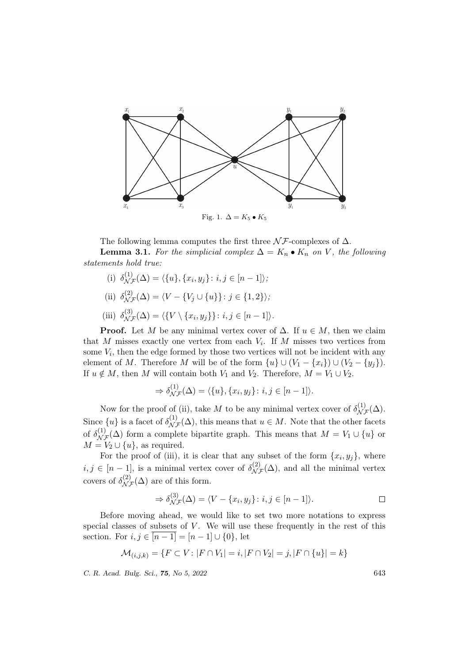

The following lemma computes the first three  $\mathcal{NF}$ -complexes of  $\Delta$ .

**Lemma 3.1.** For the simplicial complex  $\Delta = K_n \bullet K_n$  on V, the following statements hold true:

- (i)  $\delta_{\mathcal{N}\mathcal{F}}^{(1)}(\Delta) = \langle \{u\}, \{x_i, y_j\} : i, j \in [n-1] \rangle;$
- (ii)  $\delta_{\mathcal{N}\mathcal{F}}^{(2)}(\Delta) = \langle V \{V_j \cup \{u\}\} : j \in \{1, 2\} \rangle$ ;
- (iii)  $\delta_{\mathcal{N}\mathcal{F}}^{(3)}(\Delta) = \langle \{ V \setminus \{x_i, y_j\} \} : i, j \in [n-1] \rangle.$

**Proof.** Let M be any minimal vertex cover of  $\Delta$ . If  $u \in M$ , then we claim that M misses exactly one vertex from each  $V_i$ . If M misses two vertices from some  $V_i$ , then the edge formed by those two vertices will not be incident with any element of M. Therefore M will be of the form  $\{u\} \cup (V_1 - \{x_i\}) \cup (V_2 - \{y_i\}).$ If  $u \notin M$ , then M will contain both  $V_1$  and  $V_2$ . Therefore,  $M = V_1 \cup V_2$ .

$$
\Rightarrow \delta_{\mathcal{N}\mathcal{F}}^{(1)}(\Delta) = \langle \{u\}, \{x_i, y_j\} : i, j \in [n-1] \rangle.
$$

Now for the proof of (ii), take M to be any minimal vertex cover of  $\delta_{\mathcal{NF}}^{(1)}(\Delta)$ . Since  $\{u\}$  is a facet of  $\delta_{\mathcal{N}\mathcal{F}}^{(1)}(\Delta)$ , this means that  $u \in M$ . Note that the other facets of  $\delta_{\mathcal{N}\mathcal{F}}^{(1)}(\Delta)$  form a complete bipartite graph. This means that  $M = V_1 \cup \{u\}$  or  $M = V_2 \cup \{u\}$ , as required.

For the proof of (iii), it is clear that any subset of the form  $\{x_i, y_j\}$ , where  $i, j \in [n-1]$ , is a minimal vertex cover of  $\delta_{\mathcal{N}\mathcal{F}}^{(2)}(\Delta)$ , and all the minimal vertex covers of  $\delta_{\mathcal{NF}}^{(2)}(\Delta)$  are of this form.

$$
\Rightarrow \delta_{\mathcal{N}\mathcal{F}}^{(3)}(\Delta) = \langle V - \{x_i, y_j\} : i, j \in [n-1] \rangle.
$$

Before moving ahead, we would like to set two more notations to express special classes of subsets of  $V$ . We will use these frequently in the rest of this section. For  $i, j \in \overline{[n-1]} = [n-1] \cup \{0\}$ , let

$$
\mathcal{M}_{(i,j,k)} = \{ F \subset V \colon |F \cap V_1| = i, |F \cap V_2| = j, |F \cap \{u\}| = k \}
$$

C. R. Acad. Bulg. Sci., 75, No 5, 2022 643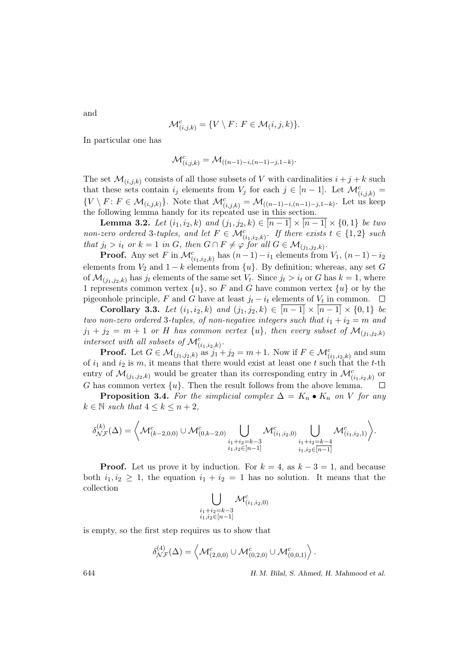and

$$
\mathcal{M}_{(i,j,k)}^c = \{ V \setminus F \colon F \in \mathcal{M}(i,j,k) \}.
$$

In particular one has

$$
\mathcal{M}_{(i,j,k)}^c = \mathcal{M}_{((n-1)-i,(n-1)-j,1-k)}.
$$

The set  $\mathcal{M}_{(i,j,k)}$  consists of all those subsets of V with cardinalities  $i + j + k$  such that these sets contain  $i_j$  elements from  $V_j$  for each  $j \in [n-1]$ . Let  $\mathcal{M}_{(i,j,k)}^c$  $\{V \setminus F : F \in \mathcal{M}_{(i,j,k)}\}.$  Note that  $\mathcal{M}_{(i,j,k)}^c = \mathcal{M}_{((n-1)-i,(n-1)-j,1-k)}$ . Let us keep the following lemma handy for its repeated use in this section.

**Lemma 3.2.** Let  $(i_1, i_2, k)$  and  $(j_1, j_2, k) \in [n-1] \times [n-1] \times \{0, 1\}$  be two non-zero ordered 3-tuples, and let  $F \in \mathcal{M}_{(i_1,i_2,k)}^c$ . If there exists  $t \in \{1,2\}$  such that  $j_t > i_t$  or  $k = 1$  in G, then  $G \cap F \neq \varphi$  for all  $G \in \mathcal{M}_{(j_1, j_2, k)}$ .

**Proof.** Any set F in  $\mathcal{M}_{(i_1,i_2,k)}^c$  has  $(n-1)-i_1$  elements from  $V_1$ ,  $(n-1)-i_2$ elements from  $V_2$  and  $1 - k$  elements from  $\{u\}$ . By definition; whereas, any set G of  $\mathcal{M}_{(j_1,j_2,k)}$  has  $j_t$  elements of the same set  $V_t$ . Since  $j_t > i_t$  or G has  $k = 1$ , where 1 represents common vertex  $\{u\}$ , so F and G have common vertex  $\{u\}$  or by the pigeonhole principle, F and G have at least  $j_t - i_t$  elements of  $V_t$  in common.

Corollary 3.3. Let  $(i_1, i_2, k)$  and  $(j_1, j_2, k) \in [n-1] \times [n-1] \times \{0, 1\}$  be two non-zero ordered 3-tuples, of non-negative integers such that  $i_1 + i_2 = m$  and  $j_1 + j_2 = m + 1$  or H has common vertex  $\{u\}$ , then every subset of  $\mathcal{M}_{(j_1,j_2,k)}$ intersect with all subsets of  $\mathcal{M}_{(i_1,i_2,k)}^c$ .

**Proof.** Let  $G \in \mathcal{M}_{(j_1,j_2,k)}$  as  $j_1 + j_2 = m+1$ . Now if  $F \in \mathcal{M}_{(i_1,i_2,k)}^c$  and sum of  $i_1$  and  $i_2$  is m, it means that there would exist at least one t such that the t-th entry of  $\mathcal{M}_{(j_1,j_2,k)}$  would be greater than its corresponding entry in  $\mathcal{M}_{(i_1,i_2,k)}^c$  or G has common vertex  $\{u\}$ . Then the result follows from the above lemma.  $\Box$ 

**Proposition 3.4.** For the simplicial complex  $\Delta = K_n \bullet K_n$  on V for any  $k \in \mathbb{N}$  such that  $4 \leq k \leq n+2$ ,

$$
\delta^{(k)}_{\mathcal{N}\mathcal{F}}(\Delta) = \left\langle \mathcal{M}^c_{(k-2,0,0)} \cup \mathcal{M}^c_{(0,k-2,0)} \bigcup_{\substack{i_1+i_2=k-3 \\ i_1,i_2 \in [n-1]}} \mathcal{M}^c_{(i_1,i_2,0)} \bigcup_{\substack{i_1+i_2=k-4 \\ i_1,i_2 \in [n-1]}} \mathcal{M}^c_{(i_1,i_2,1)} \right\rangle.
$$

**Proof.** Let us prove it by induction. For  $k = 4$ , as  $k - 3 = 1$ , and because both  $i_1, i_2 \geq 1$ , the equation  $i_1 + i_2 = 1$  has no solution. It means that the collection

$$
\bigcup_{\substack{i_1+i_2=k-3\\i_1,i_2\in[n-1]}}\mathcal{M}_{(i_1,i_2,0)}^c
$$

is empty, so the first step requires us to show that

$$
\delta_{\mathcal{NF}}^{(4)}(\Delta) = \left\langle \mathcal{M}_{(2,0,0)}^c \cup \mathcal{M}_{(0,2,0)}^c \cup \mathcal{M}_{(0,0,1)}^c \right\rangle.
$$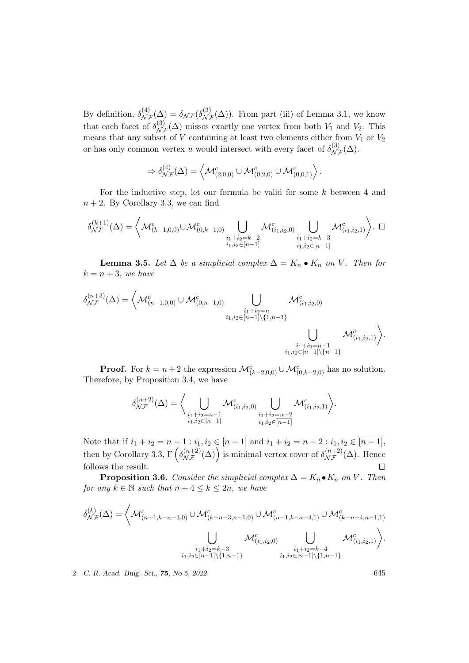By definition,  $\delta_{\mathcal{N}\mathcal{F}}^{(4)}(\Delta) = \delta_{\mathcal{N}\mathcal{F}}(\delta_{\mathcal{N}\mathcal{F}}^{(3)}(\Delta))$ . From part (iii) of Lemma 3.1, we know that each facet of  $\delta_{\mathcal{NF}}^{(3)}(\Delta)$  misses exactly one vertex from both  $V_1$  and  $V_2$ . This means that any subset of V containing at least two elements either from  $V_1$  or  $V_2$ or has only common vertex u would intersect with every facet of  $\delta_{\mathcal{NF}}^{(3)}(\Delta)$ .

$$
\Rightarrow \delta_{\mathcal{N}\mathcal{F}}^{(4)}(\Delta) = \left\langle \mathcal{M}_{(2,0,0)}^c \cup \mathcal{M}_{(0,2,0)}^c \cup \mathcal{M}_{(0,0,1)}^c \right\rangle.
$$

For the inductive step, let our formula be valid for some k between 4 and  $n + 2$ . By Corollary 3.3, we can find

$$
\delta^{(k+1)}_{\mathcal{N}\mathcal{F}}(\Delta) = \left\langle \mathcal{M}^c_{(k-1,0,0)} \cup \mathcal{M}^c_{(0,k-1,0)} \bigcup_{\substack{i_1+i_2=k-2\\i_1,i_2 \in [n-1]}} \mathcal{M}^c_{(i_1,i_2,0)} \bigcup_{\substack{i_1+i_2=k-3\\i_1,i_2 \in [n-1]}} \mathcal{M}^c_{(i_1,i_2,1)} \right\rangle. \ \ \Box
$$

**Lemma 3.5.** Let  $\Delta$  be a simplicial complex  $\Delta = K_n \bullet K_n$  on V. Then for  $k = n + 3$ , we have

$$
\delta_{\mathcal{NF}}^{(n+3)}(\Delta) = \left\langle \mathcal{M}_{(n-1,0,0)}^c \cup \mathcal{M}_{(0,n-1,0)}^c \bigcup_{\substack{i_1+i_2=n\\i_1,i_2 \in [n-1] \setminus \{1,n-1\}}} \mathcal{M}_{(i_1,i_2,0)}^c \right. \\ \bigcup_{\substack{i_1+i_2=n-1\\i_1,i_2 \in [n-1] \setminus \{n-1\}}} \mathcal{M}_{(i_1,i_2,1)}^c \right\rangle.
$$

**Proof.** For  $k = n + 2$  the expression  $\mathcal{M}_{(k-2,0,0)}^c \cup \mathcal{M}_{(0,k-2,0)}^c$  has no solution. Therefore, by Proposition 3.4, we have

$$
\delta_{\mathcal{NF}}^{(n+2)}(\Delta) = \bigg\langle \bigcup_{\substack{i_1+i_2=n-1\\i_1,i_2 \in [n-1]}} \mathcal{M}_{(i_1,i_2,0)}^c \bigcup_{\substack{i_1+i_2=n-2\\i_1,i_2 \in [n-1]}} \mathcal{M}_{(i_1,i_2,1)}^c \bigg\rangle.
$$

Note that if  $i_1 + i_2 = n - 1$ :  $i_1, i_2 \in [n-1]$  and  $i_1 + i_2 = n - 2$ :  $i_1, i_2 \in [n-1]$ , then by Corollary 3.3,  $\Gamma\left(\delta_{\mathcal{NF}}^{(n+2)}(\Delta)\right)$  is minimal vertex cover of  $\delta_{\mathcal{NF}}^{(n+2)}(\Delta)$ . Hence follows the result.  $\Box$ 

**Proposition 3.6.** Consider the simplicial complex  $\Delta = K_n \bullet K_n$  on V. Then for any  $k \in \mathbb{N}$  such that  $n + 4 \leq k \leq 2n$ , we have

$$
\delta_{\mathcal{NF}}^{(k)}(\Delta) = \left\langle \mathcal{M}_{(n-1,k-n-3,0)}^c \cup \mathcal{M}_{(k-n-3,n-1,0)}^c \cup \mathcal{M}_{(n-1,k-n-4,1)}^c \cup \mathcal{M}_{(k-n-4,n-1,1)}^c \right. \\
\left. \bigcup_{\substack{i_1+i_2=k-3\\i_1,i_2 \in [n-1] \setminus \{1,n-1\}}} \mathcal{M}_{(i_1,i_2,0)}^c \bigcup_{\substack{i_1+i_2=k-4\\i_1,i_2 \in [n-1] \setminus \{1,n-1\}}} \mathcal{M}_{(i_1,i_2,1)}^c \right\rangle.
$$

2 C. R. Acad. Bulg. Sci., 75, No 5, 2022 645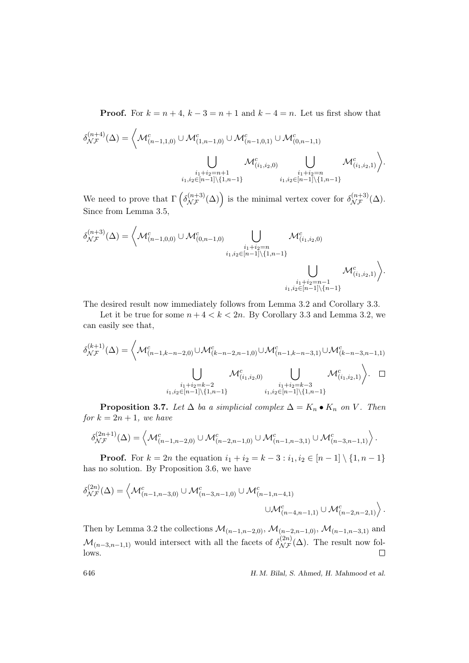**Proof.** For  $k = n + 4$ ,  $k - 3 = n + 1$  and  $k - 4 = n$ . Let us first show that

$$
\delta_{\mathcal{NF}}^{(n+4)}(\Delta) = \left\langle \mathcal{M}_{(n-1,1,0)}^c \cup \mathcal{M}_{(1,n-1,0)}^c \cup \mathcal{M}_{(n-1,0,1)}^c \cup \mathcal{M}_{(0,n-1,1)}^c \right. \\
\left. \bigcup_{\substack{i_1+i_2=n+1\\i_1,i_2 \in [n-1] \setminus \{1,n-1\}}} \mathcal{M}_{(i_1,i_2,0)}^c \bigcup_{\substack{i_1+i_2=n\\i_1,i_2 \in [n-1] \setminus \{1,n-1\}}} \mathcal{M}_{(i_1,i_2,1)}^c \right\rangle.
$$

We need to prove that  $\Gamma\left(\delta_{\mathcal{NF}}^{(n+3)}(\Delta)\right)$  is the minimal vertex cover for  $\delta_{\mathcal{NF}}^{(n+3)}(\Delta)$ . Since from Lemma 3.5,

$$
\delta_{\mathcal{NF}}^{(n+3)}(\Delta) = \left\langle \mathcal{M}_{(n-1,0,0)}^c \cup \mathcal{M}_{(0,n-1,0)}^c \bigcup_{\substack{i_1+i_2=n\\i_1,i_2 \in [n-1] \setminus \{1,n-1\}}} \mathcal{M}_{(i_1,i_2,0)}^c \right\rangle}{\bigcup_{\substack{i_1+i_2=n-1\\i_1,i_2 \in [n-1] \setminus \{n-1\}}} \mathcal{M}_{(i_1,i_2,1)}^c \right\rangle}.
$$

The desired result now immediately follows from Lemma 3.2 and Corollary 3.3.

Let it be true for some  $n+4 < k < 2n$ . By Corollary 3.3 and Lemma 3.2, we can easily see that,

$$
\delta_{\mathcal{NF}}^{(k+1)}(\Delta) = \left\langle \mathcal{M}_{(n-1,k-n-2,0)}^c \cup \mathcal{M}_{(k-n-2,n-1,0)}^c \cup \mathcal{M}_{(n-1,k-n-3,1)}^c \cup \mathcal{M}_{(k-n-3,n-1,1)}^c \right. \\
\left. \bigcup_{\substack{i_1+i_2=k-2\\i_1,i_2 \in [n-1]\setminus \{1,n-1\}}} \mathcal{M}_{(i_1,i_2,0)}^c \bigcup_{\substack{i_1+i_2=k-3\\i_1,i_2 \in [n-1]\setminus \{1,n-1\}}} \mathcal{M}_{(i_1,i_2,1)}^c \right\rangle. \quad \Box
$$

**Proposition 3.7.** Let  $\Delta$  ba a simplicial complex  $\Delta = K_n \bullet K_n$  on V. Then for  $k = 2n + 1$ , we have

$$
\delta_{\mathcal{NF}}^{(2n+1)}(\Delta) = \left\langle \mathcal{M}_{(n-1,n-2,0)}^c \cup \mathcal{M}_{(n-2,n-1,0)}^c \cup \mathcal{M}_{(n-1,n-3,1)}^c \cup \mathcal{M}_{(n-3,n-1,1)}^c \right\rangle.
$$

**Proof.** For  $k = 2n$  the equation  $i_1 + i_2 = k - 3 : i_1, i_2 \in [n-1] \setminus \{1, n-1\}$ has no solution. By Proposition 3.6, we have

$$
\delta_{\mathcal{N}\mathcal{F}}^{(2n)}(\Delta) = \left\langle \mathcal{M}_{(n-1,n-3,0)}^c \cup \mathcal{M}_{(n-3,n-1,0)}^c \cup \mathcal{M}_{(n-1,n-4,1)}^c \right. \\ \left. \cup \mathcal{M}_{(n-4,n-1,1)}^c \cup \mathcal{M}_{(n-2,n-2,1)}^c \right\rangle.
$$

Then by Lemma 3.2 the collections  $\mathcal{M}_{(n-1,n-2,0)}$ ,  $\mathcal{M}_{(n-2,n-1,0)}$ ,  $\mathcal{M}_{(n-1,n-3,1)}$  and  $\mathcal{M}_{(n-3,n-1,1)}$  would intersect with all the facets of  $\delta_{\mathcal{NF}}^{(2n)}(\Delta)$ . The result now follows.  $\Box$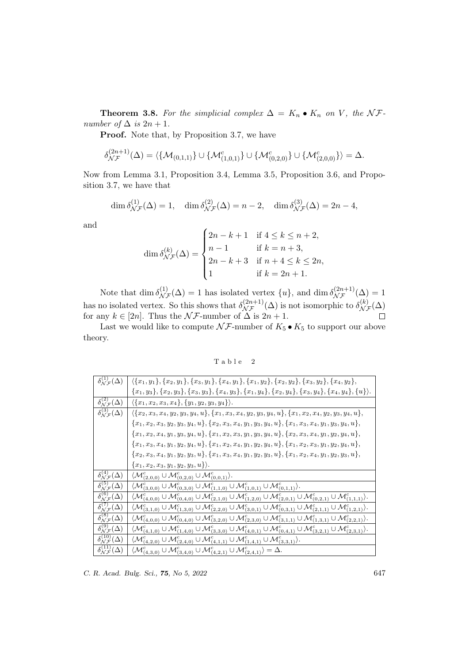**Theorem 3.8.** For the simplicial complex  $\Delta = K_n \bullet K_n$  on V, the NFnumber of  $\Delta$  is  $2n + 1$ .

Proof. Note that, by Proposition 3.7, we have

$$
\delta_{\mathcal{NF}}^{(2n+1)}(\Delta) = \langle \{ \mathcal{M}_{(0,1,1)} \} \cup \{ \mathcal{M}_{(1,0,1)}^c \} \cup \{ \mathcal{M}_{(0,2,0)}^c \} \cup \{ \mathcal{M}_{(2,0,0)}^c \} \rangle = \Delta.
$$

Now from Lemma 3.1, Proposition 3.4, Lemma 3.5, Proposition 3.6, and Proposition 3.7, we have that

$$
\dim \delta_{\mathcal{N}\mathcal{F}}^{(1)}(\Delta) = 1, \quad \dim \delta_{\mathcal{N}\mathcal{F}}^{(2)}(\Delta) = n - 2, \quad \dim \delta_{\mathcal{N}\mathcal{F}}^{(3)}(\Delta) = 2n - 4,
$$

and

$$
\dim \delta_{\mathcal{N}\mathcal{F}}^{(k)}(\Delta) = \begin{cases} 2n - k + 1 & \text{if } 4 \leq k \leq n + 2, \\ n - 1 & \text{if } k = n + 3, \\ 2n - k + 3 & \text{if } n + 4 \leq k \leq 2n, \\ 1 & \text{if } k = 2n + 1. \end{cases}
$$

Note that  $\dim \delta_{\mathcal{NF}}^{(1)}(\Delta) = 1$  has isolated vertex  $\{u\}$ , and  $\dim \delta_{\mathcal{NF}}^{(2n+1)}(\Delta) = 1$ has no isolated vertex. So this shows that  $\delta_{\mathcal{NF}}^{(2n+1)}(\Delta)$  is not isomorphic to  $\delta_{\mathcal{NF}}^{(k)}(\Delta)$ for any  $k \in [2n]$ . Thus the  $\mathcal{NF}$ -number of  $\Delta$  is  $2n + 1$ .

Last we would like to compute  $\mathcal{NF}$ -number of  $K_5 \bullet K_5$  to support our above theory.

Table 2

| $\overline{\delta_{\mathcal{N}\mathcal{F}}^{(1)}}(\Delta)$ | $\{\{x_1,y_1\},\{x_2,y_1\},\{x_3,y_1\},\{x_4,y_1\},\{x_1,y_2\},\{x_2,y_2\},\{x_3,y_2\},\{x_4,y_2\},\$                                                                                                                    |
|------------------------------------------------------------|--------------------------------------------------------------------------------------------------------------------------------------------------------------------------------------------------------------------------|
|                                                            | ${x_1,y_3}, {x_2,y_3}, {x_3,y_3}, {x_4,y_3}, {x_1,y_4}, {x_2,y_4}, {x_3,y_4}, {x_4,y_4}, {u}.$                                                                                                                           |
| $\delta_{\mathcal{N}\mathcal{F}}^{(2)}(\Delta)$            | $\langle \{x_1, x_2, x_3, x_4\}, \{y_1, y_2, y_3, y_4\} \rangle.$                                                                                                                                                        |
| $\delta_{N\mathcal{F}}^{(3)}(\Delta)$                      | $\{\{x_2,x_3,x_4,y_2,y_3,y_4,u\},\{x_1,x_3,x_4,y_2,y_3,y_4,u\},\{x_1,x_2,x_4,y_2,y_3,y_4,u\},\$                                                                                                                          |
|                                                            | ${x_1, x_2, x_3, y_2, y_3, y_4, u}$ , { ${x_2, x_3, x_4, y_1, y_3, y_4, u}$ , { ${x_1, x_3, x_4, y_1, y_3, y_4, u}$ },                                                                                                   |
|                                                            | ${x_1, x_2, x_4, y_1, y_3, y_4, u}$ , ${x_1, x_2, x_3, y_1, y_3, y_4, u}$ , ${x_2, x_3, x_4, y_1, y_2, y_4, u}$ ,                                                                                                        |
|                                                            | ${x_1, x_3, x_4, y_1, y_2, y_4, u}$ , ${x_1, x_2, x_4, y_1, y_2, y_4, u}$ , ${x_1, x_2, x_3, y_1, y_2, y_4, u}$ ,                                                                                                        |
|                                                            | ${x_2, x_3, x_4, y_1, y_2, y_3, u}$ , { $x_1, x_3, x_4, y_1, y_2, y_3, u}$ , { $x_1, x_2, x_4, y_1, y_2, y_3, u}$ },                                                                                                     |
|                                                            | ${x_1, x_2, x_3, y_1, y_2, y_3, u}$ .                                                                                                                                                                                    |
| $\delta_{\mathcal{NF}}^{(4)}(\Delta)$                      | $\langle \mathcal{M}_{(2,0,0)}^c \cup \mathcal{M}_{(0,2,0)}^c \cup \mathcal{M}_{(0,0,1)}^c \rangle.$                                                                                                                     |
| $\overline{\delta_{\mathcal{N}\mathcal{F}}^{(5)}(\Delta)}$ | $\langle \mathcal{M}_{(3,0,0)}^c \cup \mathcal{M}_{(0,3,0)}^c \cup \mathcal{M}_{(1,1,0)}^c \cup \mathcal{M}_{(1,0,1)}^c \cup \mathcal{M}_{(0,1,1)}^c \rangle.$                                                           |
| $\overline{\delta_{\mathcal{N}\mathcal{F}}^{(6)}(\Delta)}$ | $\langle \mathcal{M}_{(4,0,0)}^c \cup \mathcal{M}_{(0,4,0)}^c \cup \mathcal{M}_{(2,1,0)}^c \cup \mathcal{M}_{(1,2,0)}^c \cup \mathcal{M}_{(2,0,1)}^c \cup \mathcal{M}_{(0,2,1)}^c \cup \mathcal{M}_{(1,1,1)}^c \rangle.$ |
| $\delta_{\mathcal{NF}}^{(7)}(\Delta)$                      | $\langle \mathcal{M}_{(3,1,0)}^c \cup \mathcal{M}_{(1,3,0)}^c \cup \mathcal{M}_{(2,2,0)}^c \cup \mathcal{M}_{(3,0,1)}^c \cup \mathcal{M}_{(0,3,1)}^c \cup \mathcal{M}_{(2,1,1)}^c \cup \mathcal{M}_{(1,2,1)}^c \rangle.$ |
| $\delta_{\mathcal{N}\mathcal{F}}^{(8)}(\Delta)$            | $\langle \mathcal{M}_{(4,0,0)}^c \cup \mathcal{M}_{(0,4,0)}^c \cup \mathcal{M}_{(3,2,0)}^c \cup \mathcal{M}_{(2,3,0)}^c \cup \mathcal{M}_{(3,1,1)}^c \cup \mathcal{M}_{(1,3,1)}^c \cup \mathcal{M}_{(2,2,1)}^c \rangle.$ |
| $\delta_{\mathcal{N}\mathcal{F}}^{(9)}(\Delta)$            | $\langle \mathcal{M}_{(4,1,0)}^c \cup \mathcal{M}_{(1,4,0)}^c \cup \mathcal{M}_{(3,3,0)}^c \cup \mathcal{M}_{(4,0,1)}^c \cup \mathcal{M}_{(0,4,1)}^c \cup \mathcal{M}_{(3,2,1)}^c \cup \mathcal{M}_{(2,3,1)}^c \rangle.$ |
| $\delta_{\mathcal{N}\mathcal{F}}^{(10)}(\Delta)$           | $\langle \mathcal{M}_{(4,2,0)}^c \cup \mathcal{M}_{(2,4,0)}^c \cup \mathcal{M}_{(4,1,1)}^c \cup \mathcal{M}_{(1,4,1)}^c \cup \mathcal{M}_{(3,3,1)}^c \rangle.$                                                           |
| $\delta_{\mathcal{N}\mathcal{F}}^{(11)}(\Delta)$           | $\langle \mathcal{M}^c_{(4,3,0)} \cup \mathcal{M}^c_{(3,4,0)} \cup \mathcal{M}^c_{(4,2,1)} \cup \mathcal{M}^c_{(2,4,1)} \rangle = \Delta.$                                                                               |

C. R. Acad. Bulg. Sci., **75**, No 5, 2022 647